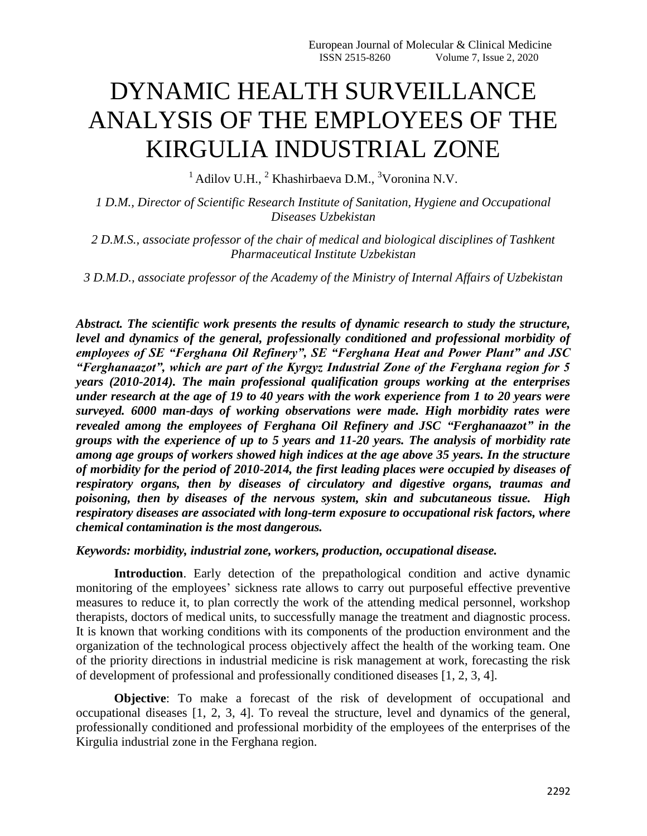## DYNAMIC HEALTH SURVEILLANCE ANALYSIS OF THE EMPLOYEES OF THE KIRGULIA INDUSTRIAL ZONE

 $1$ Adilov U.H.,  $2$  Khashirbaeva D.M.,  $3$ Voronina N.V.

*1 D.M., Director of Scientific Research Institute of Sanitation, Hygiene and Occupational Diseases Uzbekistan* 

*2 D.M.S., associate professor of the chair of medical and biological disciplines of Tashkent Pharmaceutical Institute Uzbekistan* 

*3 D.M.D., associate professor of the Academy of the Ministry of Internal Affairs of Uzbekistan*

*Abstract. The scientific work presents the results of dynamic research to study the structure, level and dynamics of the general, professionally conditioned and professional morbidity of employees of SE "Ferghana Oil Refinery", SE "Ferghana Heat and Power Plant" and JSC "Ferghanaazot", which are part of the Kyrgyz Industrial Zone of the Ferghana region for 5 years (2010-2014). The main professional qualification groups working at the enterprises under research at the age of 19 to 40 years with the work experience from 1 to 20 years were surveyed. 6000 man-days of working observations were made. High morbidity rates were revealed among the employees of Ferghana Oil Refinery and JSC "Ferghanaazot" in the groups with the experience of up to 5 years and 11-20 years. The analysis of morbidity rate among age groups of workers showed high indices at the age above 35 years. In the structure of morbidity for the period of 2010-2014, the first leading places were occupied by diseases of respiratory organs, then by diseases of circulatory and digestive organs, traumas and poisoning, then by diseases of the nervous system, skin and subcutaneous tissue. High respiratory diseases are associated with long-term exposure to occupational risk factors, where chemical contamination is the most dangerous.*

*Keywords: morbidity, industrial zone, workers, production, occupational disease.*

**Introduction**. Early detection of the prepathological condition and active dynamic monitoring of the employees' sickness rate allows to carry out purposeful effective preventive measures to reduce it, to plan correctly the work of the attending medical personnel, workshop therapists, doctors of medical units, to successfully manage the treatment and diagnostic process. It is known that working conditions with its components of the production environment and the organization of the technological process objectively affect the health of the working team. One of the priority directions in industrial medicine is risk management at work, forecasting the risk of development of professional and professionally conditioned diseases [1, 2, 3, 4].

**Objective**: To make a forecast of the risk of development of occupational and occupational diseases [1, 2, 3, 4]. To reveal the structure, level and dynamics of the general, professionally conditioned and professional morbidity of the employees of the enterprises of the Kirgulia industrial zone in the Ferghana region.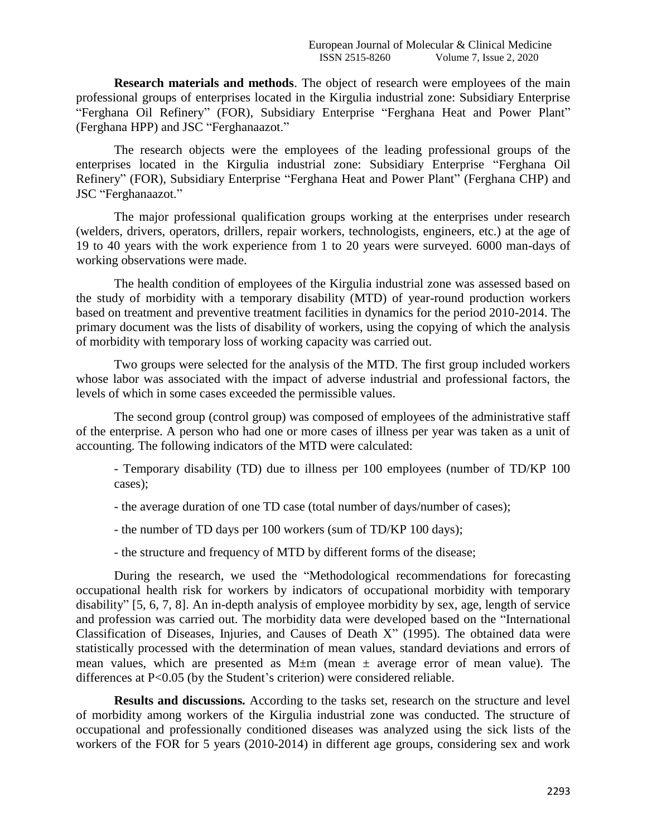**Research materials and methods**. The object of research were employees of the main professional groups of enterprises located in the Kirgulia industrial zone: Subsidiary Enterprise "Ferghana Oil Refinery" (FOR), Subsidiary Enterprise "Ferghana Heat and Power Plant" (Ferghana HPP) and JSC "Ferghanaazot."

The research objects were the employees of the leading professional groups of the enterprises located in the Kirgulia industrial zone: Subsidiary Enterprise "Ferghana Oil Refinery" (FOR), Subsidiary Enterprise "Ferghana Heat and Power Plant" (Ferghana CHP) and JSC "Ferghanaazot."

The major professional qualification groups working at the enterprises under research (welders, drivers, operators, drillers, repair workers, technologists, engineers, etc.) at the age of 19 to 40 years with the work experience from 1 to 20 years were surveyed. 6000 man-days of working observations were made.

The health condition of employees of the Kirgulia industrial zone was assessed based on the study of morbidity with a temporary disability (MTD) of year-round production workers based on treatment and preventive treatment facilities in dynamics for the period 2010-2014. The primary document was the lists of disability of workers, using the copying of which the analysis of morbidity with temporary loss of working capacity was carried out.

Two groups were selected for the analysis of the MTD. The first group included workers whose labor was associated with the impact of adverse industrial and professional factors, the levels of which in some cases exceeded the permissible values.

The second group (control group) was composed of employees of the administrative staff of the enterprise. A person who had one or more cases of illness per year was taken as a unit of accounting. The following indicators of the MTD were calculated:

- Temporary disability (TD) due to illness per 100 employees (number of TD/KP 100 cases);

- the average duration of one TD case (total number of days/number of cases);
- the number of TD days per 100 workers (sum of TD/KP 100 days);
- the structure and frequency of MTD by different forms of the disease;

During the research, we used the "Methodological recommendations for forecasting occupational health risk for workers by indicators of occupational morbidity with temporary disability" [5, 6, 7, 8]. An in-depth analysis of employee morbidity by sex, age, length of service and profession was carried out. The morbidity data were developed based on the "International Classification of Diseases, Injuries, and Causes of Death X" (1995). The obtained data were statistically processed with the determination of mean values, standard deviations and errors of mean values, which are presented as  $M \pm m$  (mean  $\pm$  average error of mean value). The differences at P<0.05 (by the Student's criterion) were considered reliable.

**Results and discussions.** According to the tasks set, research on the structure and level of morbidity among workers of the Kirgulia industrial zone was conducted. The structure of occupational and professionally conditioned diseases was analyzed using the sick lists of the workers of the FOR for 5 years (2010-2014) in different age groups, considering sex and work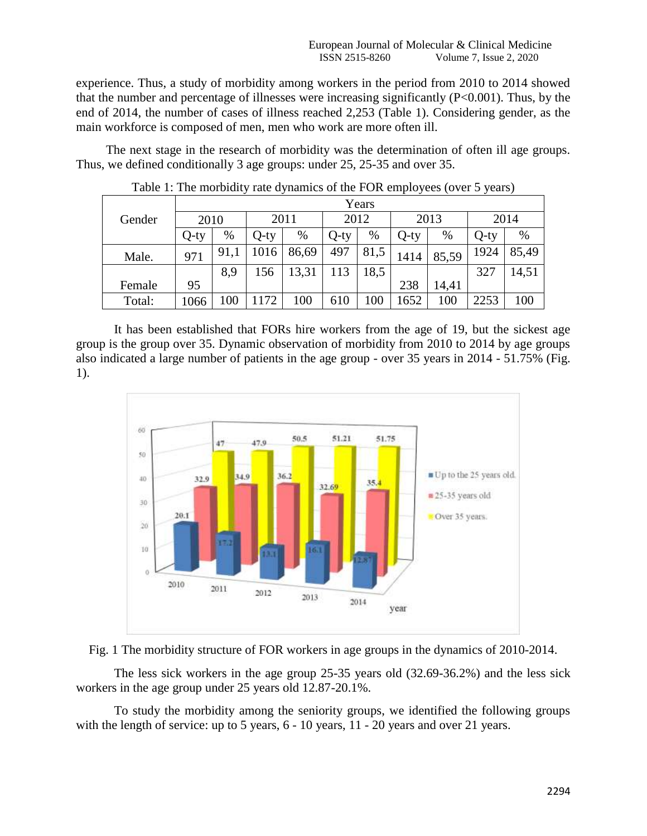experience. Thus, a study of morbidity among workers in the period from 2010 to 2014 showed that the number and percentage of illnesses were increasing significantly  $(P<0.001)$ . Thus, by the end of 2014, the number of cases of illness reached 2,253 (Table 1). Considering gender, as the main workforce is composed of men, men who work are more often ill.

The next stage in the research of morbidity was the determination of often ill age groups. Thus, we defined conditionally 3 age groups: under 25, 25-35 and over 35.

|        | Years   |      |      |       |         |      |         |       |         |       |  |
|--------|---------|------|------|-------|---------|------|---------|-------|---------|-------|--|
| Gender | 2010    |      | 2011 |       | 2012    |      | 2013    |       | 2014    |       |  |
|        | $Q$ -ty | $\%$ | Q-ty | %     | $Q$ -ty | %    | $Q$ -ty | %     | $Q$ -ty | %     |  |
| Male.  | 971     | 91,1 | 1016 | 86,69 | 497     | 81,5 | 1414    | 85,59 | 1924    | 85,49 |  |
|        |         | 8,9  | 156  | 13,31 | 113     | 8,5  |         |       | 327     | 14,51 |  |
| Female | 95      |      |      |       |         |      | 238     | 14,41 |         |       |  |
| Total: | 1066    | 100  | 1172 | 100   | 610     | 100  | .652    | 100   | 2253    | 100   |  |

Table 1: The morbidity rate dynamics of the FOR employees (over 5 years)

It has been established that FORs hire workers from the age of 19, but the sickest age group is the group over 35. Dynamic observation of morbidity from 2010 to 2014 by age groups also indicated a large number of patients in the age group - over 35 years in 2014 - 51.75% (Fig. 1).





The less sick workers in the age group 25-35 years old (32.69-36.2%) and the less sick workers in the age group under 25 years old 12.87-20.1%.

To study the morbidity among the seniority groups, we identified the following groups with the length of service: up to 5 years,  $6 - 10$  years,  $11 - 20$  years and over 21 years.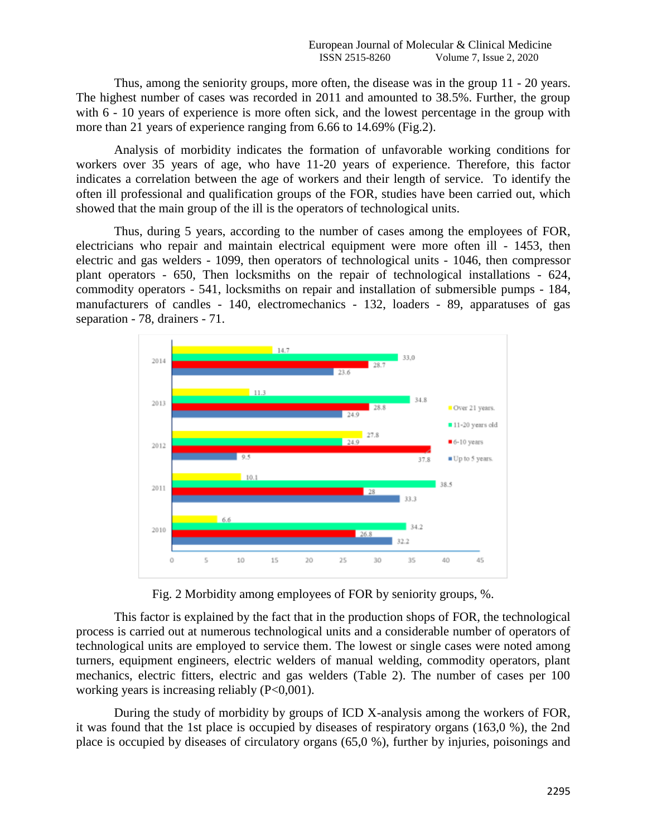Thus, among the seniority groups, more often, the disease was in the group 11 - 20 years. The highest number of cases was recorded in 2011 and amounted to 38.5%. Further, the group with  $6 - 10$  years of experience is more often sick, and the lowest percentage in the group with more than 21 years of experience ranging from 6.66 to 14.69% (Fig.2).

Analysis of morbidity indicates the formation of unfavorable working conditions for workers over 35 years of age, who have 11-20 years of experience. Therefore, this factor indicates a correlation between the age of workers and their length of service. To identify the often ill professional and qualification groups of the FOR, studies have been carried out, which showed that the main group of the ill is the operators of technological units.

Thus, during 5 years, according to the number of cases among the employees of FOR, electricians who repair and maintain electrical equipment were more often ill - 1453, then electric and gas welders - 1099, then operators of technological units - 1046, then compressor plant operators - 650, Then locksmiths on the repair of technological installations - 624, commodity operators - 541, locksmiths on repair and installation of submersible pumps - 184, manufacturers of candles - 140, electromechanics - 132, loaders - 89, apparatuses of gas separation - 78, drainers - 71.



Fig. 2 Morbidity among employees of FOR by seniority groups, %.

This factor is explained by the fact that in the production shops of FOR, the technological process is carried out at numerous technological units and a considerable number of operators of technological units are employed to service them. The lowest or single cases were noted among turners, equipment engineers, electric welders of manual welding, commodity operators, plant mechanics, electric fitters, electric and gas welders (Table 2). The number of cases per 100 working years is increasing reliably (P<0,001).

During the study of morbidity by groups of ICD X-analysis among the workers of FOR, it was found that the 1st place is occupied by diseases of respiratory organs (163,0 %), the 2nd place is occupied by diseases of circulatory organs (65,0 %), further by injuries, poisonings and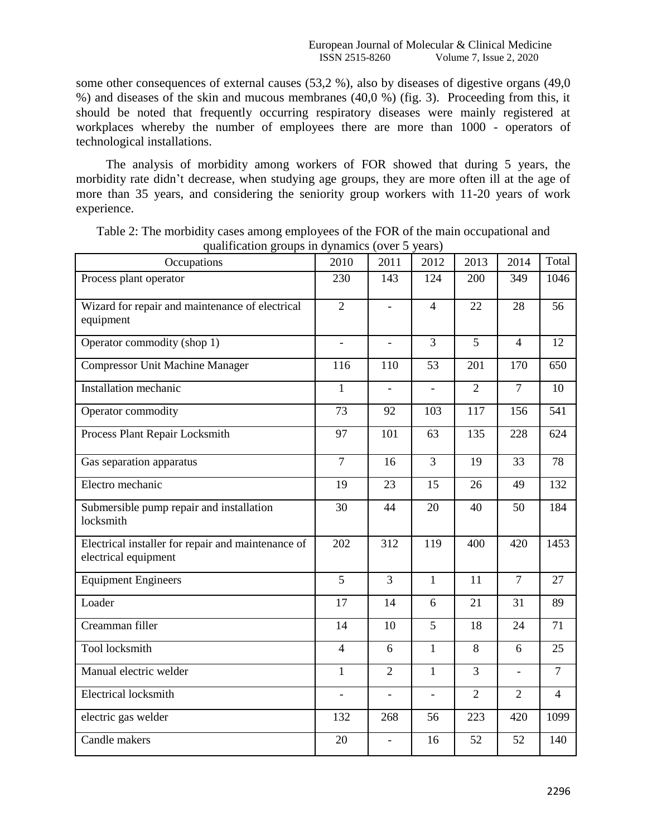some other consequences of external causes (53,2 %), also by diseases of digestive organs (49,0) %) and diseases of the skin and mucous membranes (40,0 %) (fig. 3). Proceeding from this, it should be noted that frequently occurring respiratory diseases were mainly registered at workplaces whereby the number of employees there are more than 1000 - operators of technological installations.

The analysis of morbidity among workers of FOR showed that during 5 years, the morbidity rate didn't decrease, when studying age groups, they are more often ill at the age of more than 35 years, and considering the seniority group workers with 11-20 years of work experience.

| quannoution groups in ajinannes                                            |                | $\sqrt{2}$               | $, \, \ldots$            |                |                          |                |
|----------------------------------------------------------------------------|----------------|--------------------------|--------------------------|----------------|--------------------------|----------------|
| Occupations                                                                | 2010           | 2011                     | 2012                     | 2013           | 2014                     | Total          |
| Process plant operator                                                     | 230            | 143                      | 124                      | 200            | 349                      | 1046           |
| Wizard for repair and maintenance of electrical                            | $\overline{2}$ | $\overline{a}$           | $\overline{4}$           | 22             | 28                       | 56             |
| equipment                                                                  |                |                          |                          |                |                          |                |
| Operator commodity (shop 1)                                                | $\overline{a}$ | $\overline{a}$           | 3                        | 5              | $\overline{4}$           | 12             |
| <b>Compressor Unit Machine Manager</b>                                     | 116            | 110                      | 53                       | 201            | 170                      | 650            |
| <b>Installation</b> mechanic                                               | $\mathbf{1}$   | $\overline{a}$           | $\overline{a}$           | $\overline{2}$ | $\overline{7}$           | 10             |
| Operator commodity                                                         | 73             | 92                       | 103                      | 117            | 156                      | 541            |
| Process Plant Repair Locksmith                                             | 97             | 101                      | 63                       | 135            | 228                      | 624            |
| Gas separation apparatus                                                   | $\overline{7}$ | 16                       | 3                        | 19             | 33                       | 78             |
| Electro mechanic                                                           | 19             | 23                       | 15                       | 26             | 49                       | 132            |
| Submersible pump repair and installation<br>locksmith                      | 30             | 44                       | 20                       | 40             | 50                       | 184            |
| Electrical installer for repair and maintenance of<br>electrical equipment | 202            | 312                      | 119                      | 400            | 420                      | 1453           |
| <b>Equipment Engineers</b>                                                 | $\overline{5}$ | $\overline{3}$           | $\overline{1}$           | 11             | $\overline{7}$           | 27             |
| Loader                                                                     | 17             | 14                       | 6                        | 21             | 31                       | 89             |
| Creamman filler                                                            | 14             | 10                       | 5                        | 18             | 24                       | 71             |
| Tool locksmith                                                             | $\overline{4}$ | 6                        | $\mathbf{1}$             | 8              | 6                        | 25             |
| Manual electric welder                                                     | $\mathbf{1}$   | $\overline{2}$           | $\mathbf{1}$             | $\overline{3}$ | $\overline{\phantom{a}}$ | $\overline{7}$ |
| <b>Electrical locksmith</b>                                                | $\overline{a}$ | $\overline{\phantom{0}}$ | $\overline{\phantom{0}}$ | $\overline{2}$ | $\overline{2}$           | $\overline{4}$ |
| electric gas welder                                                        | 132            | 268                      | 56                       | 223            | 420                      | 1099           |
| Candle makers                                                              | 20             | $\overline{a}$           | 16                       | 52             | 52                       | 140            |

Table 2: The morbidity cases among employees of the FOR of the main occupational and qualification groups in dynamics (over 5 years)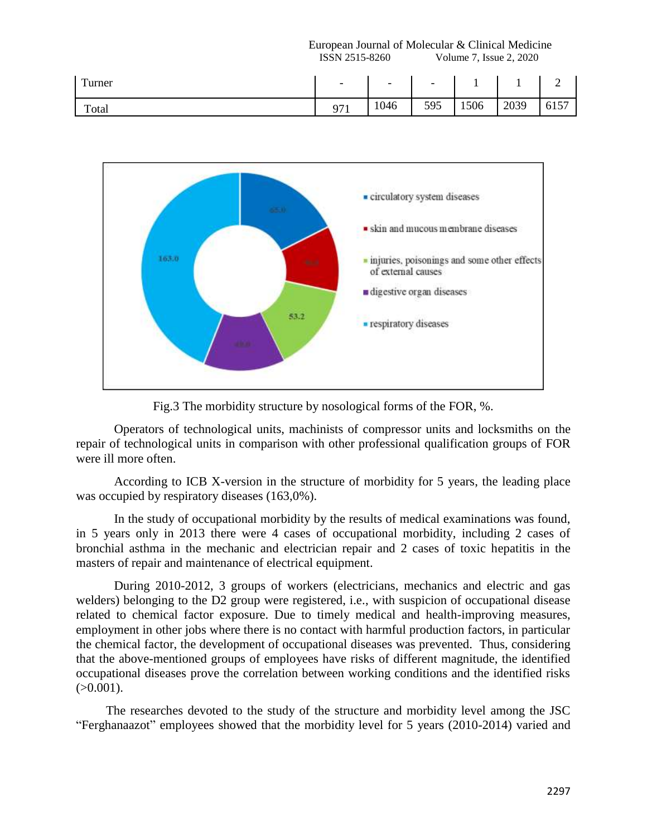European Journal of Molecular & Clinical Medicine ISSN 2515-8260 Volume 7, Issue 2, 2020

| Turner | $\overline{\phantom{0}}$ | $\overline{\phantom{0}}$ | $\overline{\phantom{0}}$ | <b>.</b> |      |                       |
|--------|--------------------------|--------------------------|--------------------------|----------|------|-----------------------|
| Total  | Q71<br>7 I I             | 1046                     | 595<br>JJJ               | 1506     | 2039 | $\overline{a}$<br>615 |



Fig.3 The morbidity structure by nosological forms of the FOR, %.

Operators of technological units, machinists of compressor units and locksmiths on the repair of technological units in comparison with other professional qualification groups of FOR were ill more often.

According to ICB X-version in the structure of morbidity for 5 years, the leading place was occupied by respiratory diseases  $(163,0\%)$ .

In the study of occupational morbidity by the results of medical examinations was found, in 5 years only in 2013 there were 4 cases of occupational morbidity, including 2 cases of bronchial asthma in the mechanic and electrician repair and 2 cases of toxic hepatitis in the masters of repair and maintenance of electrical equipment.

During 2010-2012, 3 groups of workers (electricians, mechanics and electric and gas welders) belonging to the D2 group were registered, i.e., with suspicion of occupational disease related to chemical factor exposure. Due to timely medical and health-improving measures, employment in other jobs where there is no contact with harmful production factors, in particular the chemical factor, the development of occupational diseases was prevented. Thus, considering that the above-mentioned groups of employees have risks of different magnitude, the identified occupational diseases prove the correlation between working conditions and the identified risks  $(>0.001)$ .

The researches devoted to the study of the structure and morbidity level among the JSC "Ferghanaazot" employees showed that the morbidity level for 5 years (2010-2014) varied and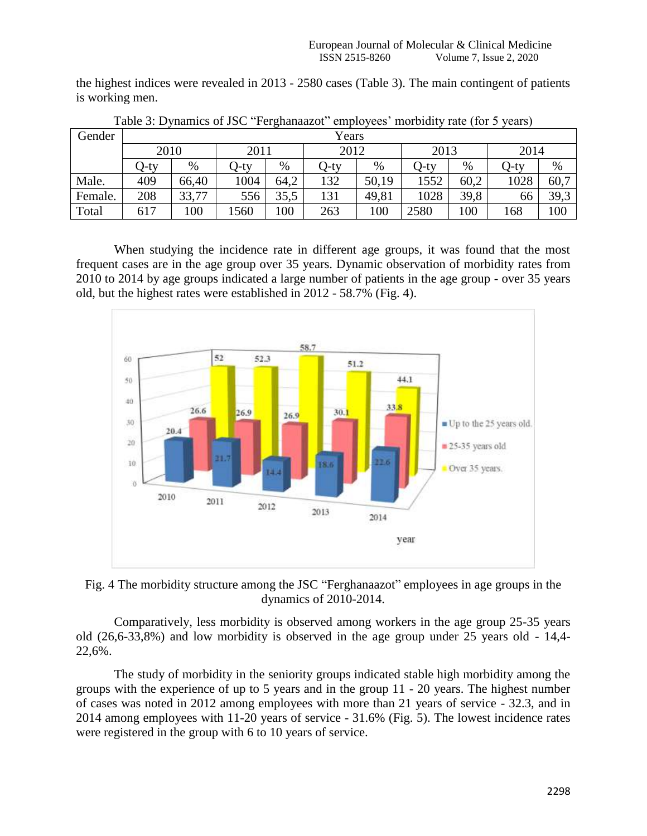the highest indices were revealed in 2013 - 2580 cases (Table 3). The main contingent of patients is working men.

| Gender  | Years |       |         |      |      |       |       |      |      |      |  |  |  |
|---------|-------|-------|---------|------|------|-------|-------|------|------|------|--|--|--|
|         | 2010  |       |         | 2011 |      | 2012  | 2013  |      | 2014 |      |  |  |  |
|         | O-ty  | %     | $Q$ -ty | %    | Q-ty | $\%$  | ()-ty | $\%$ | Q-ty | %    |  |  |  |
| Male.   | 409   | 66,40 | 1004    | 64,2 | 132  | 50,19 | 1552  | 60,2 | 1028 | 60,7 |  |  |  |
| Female. | 208   | 33,77 | 556     | 35,5 | 131  | 49,81 | 1028  | 39,8 | 66   | 39,3 |  |  |  |
| Total   | 617   | 100   | .560    | 100  | 263  | 100   | 2580  | 100  | 168  | 100  |  |  |  |

Table 3: Dynamics of JSC "Ferghanaazot" employees' morbidity rate (for 5 years)

When studying the incidence rate in different age groups, it was found that the most frequent cases are in the age group over 35 years. Dynamic observation of morbidity rates from 2010 to 2014 by age groups indicated a large number of patients in the age group - over 35 years old, but the highest rates were established in 2012 - 58.7% (Fig. 4).



Fig. 4 The morbidity structure among the JSC "Ferghanaazot" employees in age groups in the dynamics of 2010-2014.

Comparatively, less morbidity is observed among workers in the age group 25-35 years old (26,6-33,8%) and low morbidity is observed in the age group under 25 years old - 14,4- 22,6%.

The study of morbidity in the seniority groups indicated stable high morbidity among the groups with the experience of up to 5 years and in the group 11 - 20 years. The highest number of cases was noted in 2012 among employees with more than 21 years of service - 32.3, and in 2014 among employees with 11-20 years of service - 31.6% (Fig. 5). The lowest incidence rates were registered in the group with 6 to 10 years of service.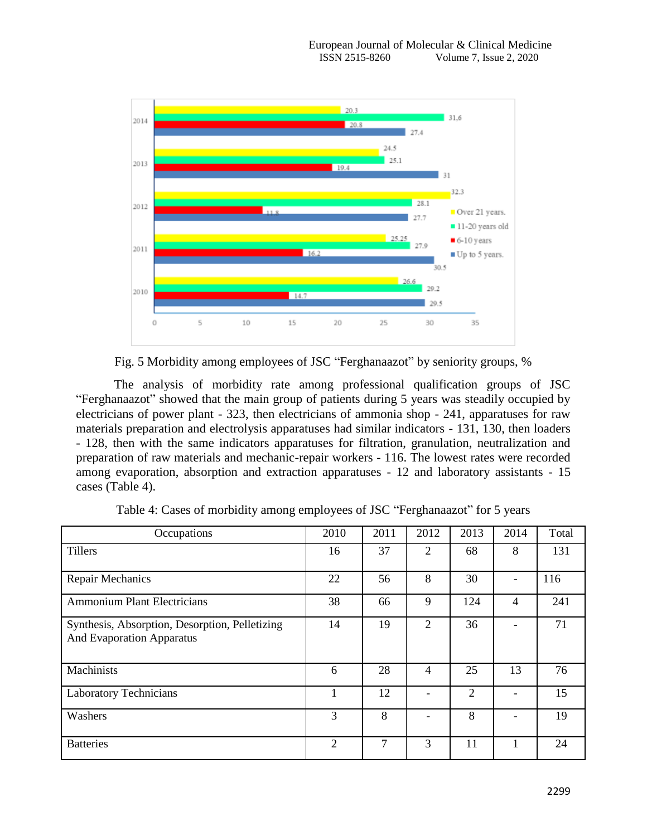

Fig. 5 Morbidity among employees of JSC "Ferghanaazot" by seniority groups, %

The analysis of morbidity rate among professional qualification groups of JSC "Ferghanaazot" showed that the main group of patients during 5 years was steadily occupied by electricians of power plant - 323, then electricians of ammonia shop - 241, apparatuses for raw materials preparation and electrolysis apparatuses had similar indicators - 131, 130, then loaders - 128, then with the same indicators apparatuses for filtration, granulation, neutralization and preparation of raw materials and mechanic-repair workers - 116. The lowest rates were recorded among evaporation, absorption and extraction apparatuses - 12 and laboratory assistants - 15 cases (Table 4).

| Occupations                                                                        | 2010           | 2011 | 2012           | 2013           | 2014 | Total |
|------------------------------------------------------------------------------------|----------------|------|----------------|----------------|------|-------|
| <b>Tillers</b>                                                                     | 16             | 37   | 2              | 68             | 8    | 131   |
| <b>Repair Mechanics</b>                                                            | 22             | 56   | 8              | 30             |      | 116   |
| <b>Ammonium Plant Electricians</b>                                                 | 38             | 66   | 9              | 124            | 4    | 241   |
| Synthesis, Absorption, Desorption, Pelletizing<br><b>And Evaporation Apparatus</b> | 14             | 19   | $\overline{2}$ | 36             |      | 71    |
| Machinists                                                                         | 6              | 28   | 4              | 25             | 13   | 76    |
| <b>Laboratory Technicians</b>                                                      |                | 12   |                | $\overline{2}$ |      | 15    |
| Washers                                                                            | 3              | 8    |                | 8              |      | 19    |
| <b>Batteries</b>                                                                   | $\overline{2}$ | 7    | 3              | 11             |      | 24    |

Table 4: Cases of morbidity among employees of JSC "Ferghanaazot" for 5 years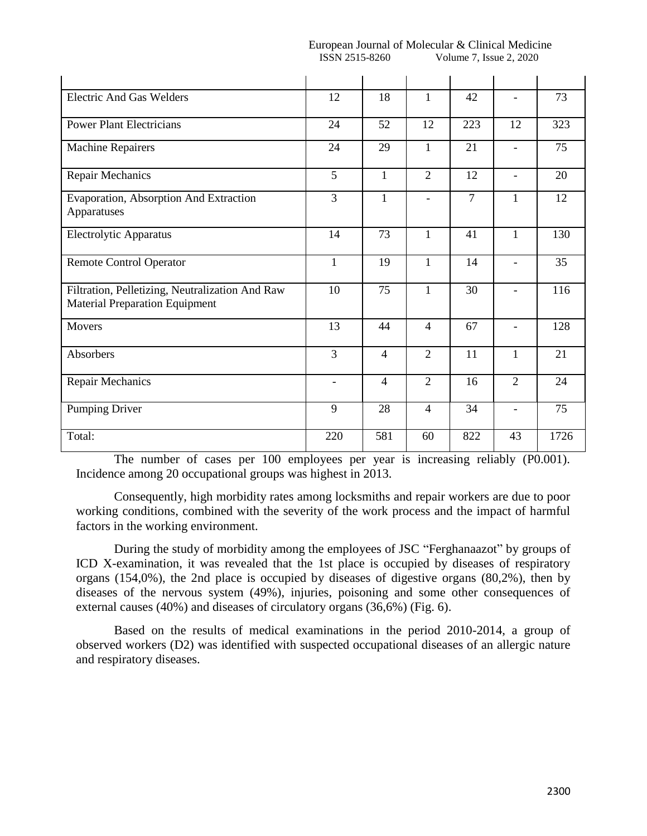| European Journal<br>of Molecular | $\sim$ .<br>' Medicine<br>. & 1<br>. Innical ' |
|----------------------------------|------------------------------------------------|
| 8260<br>ISSN<br>$\sim$<br>^~^    | 2020<br>volume<br><b>Issue</b>                 |

| <b>Electric And Gas Welders</b>                                                          | 12                       | 18             | 1              | 42             | $\overline{\phantom{a}}$ | 73   |
|------------------------------------------------------------------------------------------|--------------------------|----------------|----------------|----------------|--------------------------|------|
| <b>Power Plant Electricians</b>                                                          | 24                       | 52             | 12             | 223            | 12                       | 323  |
| <b>Machine Repairers</b>                                                                 | 24                       | 29             | $\mathbf{1}$   | 21             | $\blacksquare$           | 75   |
| <b>Repair Mechanics</b>                                                                  | 5                        | $\mathbf{1}$   | $\overline{2}$ | 12             | $\overline{\phantom{a}}$ | 20   |
| Evaporation, Absorption And Extraction<br>Apparatuses                                    | 3                        | $\mathbf{1}$   | $\blacksquare$ | $\overline{7}$ | $\mathbf{1}$             | 12   |
| Electrolytic Apparatus                                                                   | 14                       | 73             | $\mathbf{1}$   | 41             | $\mathbf{1}$             | 130  |
| <b>Remote Control Operator</b>                                                           | 1                        | 19             | 1              | 14             | $\blacksquare$           | 35   |
| Filtration, Pelletizing, Neutralization And Raw<br><b>Material Preparation Equipment</b> | 10                       | 75             | $\mathbf{1}$   | 30             |                          | 116  |
| <b>Movers</b>                                                                            | 13                       | 44             | $\overline{4}$ | 67             | $\blacksquare$           | 128  |
| Absorbers                                                                                | 3                        | $\overline{4}$ | $\overline{2}$ | 11             | $\mathbf{1}$             | 21   |
| Repair Mechanics                                                                         | $\overline{\phantom{a}}$ | $\overline{4}$ | $\overline{2}$ | 16             | $\overline{2}$           | 24   |
| Pumping Driver                                                                           | 9                        | 28             | $\overline{4}$ | 34             | $\blacksquare$           | 75   |
| Total:                                                                                   | 220                      | 581            | 60             | 822            | 43                       | 1726 |

The number of cases per 100 employees per year is increasing reliably (P0.001). Incidence among 20 occupational groups was highest in 2013.

Consequently, high morbidity rates among locksmiths and repair workers are due to poor working conditions, combined with the severity of the work process and the impact of harmful factors in the working environment.

During the study of morbidity among the employees of JSC "Ferghanaazot" by groups of ICD X-examination, it was revealed that the 1st place is occupied by diseases of respiratory organs (154,0%), the 2nd place is occupied by diseases of digestive organs (80,2%), then by diseases of the nervous system (49%), injuries, poisoning and some other consequences of external causes (40%) and diseases of circulatory organs (36,6%) (Fig. 6).

Based on the results of medical examinations in the period 2010-2014, a group of observed workers (D2) was identified with suspected occupational diseases of an allergic nature and respiratory diseases.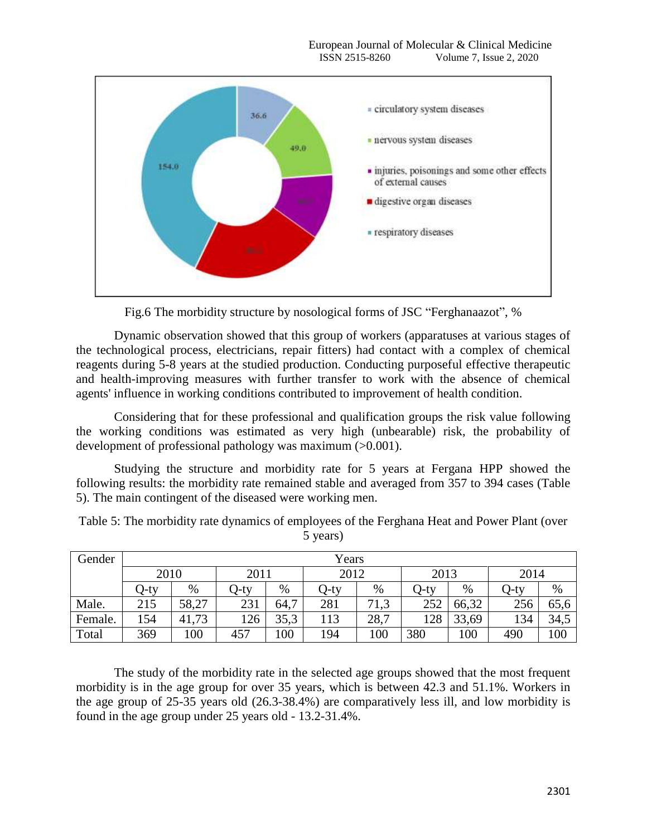

Fig.6 The morbidity structure by nosological forms of JSC "Ferghanaazot", %

Dynamic observation showed that this group of workers (apparatuses at various stages of the technological process, electricians, repair fitters) had contact with a complex of chemical reagents during 5-8 years at the studied production. Conducting purposeful effective therapeutic and health-improving measures with further transfer to work with the absence of chemical agents' influence in working conditions contributed to improvement of health condition.

Considering that for these professional and qualification groups the risk value following the working conditions was estimated as very high (unbearable) risk, the probability of development of professional pathology was maximum (>0.001).

Studying the structure and morbidity rate for 5 years at Fergana HPP showed the following results: the morbidity rate remained stable and averaged from 357 to 394 cases (Table 5). The main contingent of the diseased were working men.

Table 5: The morbidity rate dynamics of employees of the Ferghana Heat and Power Plant (over 5 years)

| Gender  | Years |       |       |              |      |      |      |       |      |      |  |  |
|---------|-------|-------|-------|--------------|------|------|------|-------|------|------|--|--|
|         | 2010  |       |       | 2012<br>2011 |      | 2013 |      | 2014  |      |      |  |  |
|         | O-ty  | %     | (J-ty | $\%$         | O-ty | %    | O-ty | $\%$  | O-ty | %    |  |  |
| Male.   | 215   | 58,27 | 231   | 64,7         | 281  | 71,3 | 252  | 66,32 | 256  | 65,6 |  |  |
| Female. | 154   | 41,73 | 126   | 35,3         | 113  | 28,7 | 128  | 33,69 | 134  | 34,5 |  |  |
| Total   | 369   | 100   | 457   | 100          | 194  | 100  | 380  | 100   | 490  | 100  |  |  |

The study of the morbidity rate in the selected age groups showed that the most frequent morbidity is in the age group for over 35 years, which is between 42.3 and 51.1%. Workers in the age group of 25-35 years old (26.3-38.4%) are comparatively less ill, and low morbidity is found in the age group under 25 years old - 13.2-31.4%.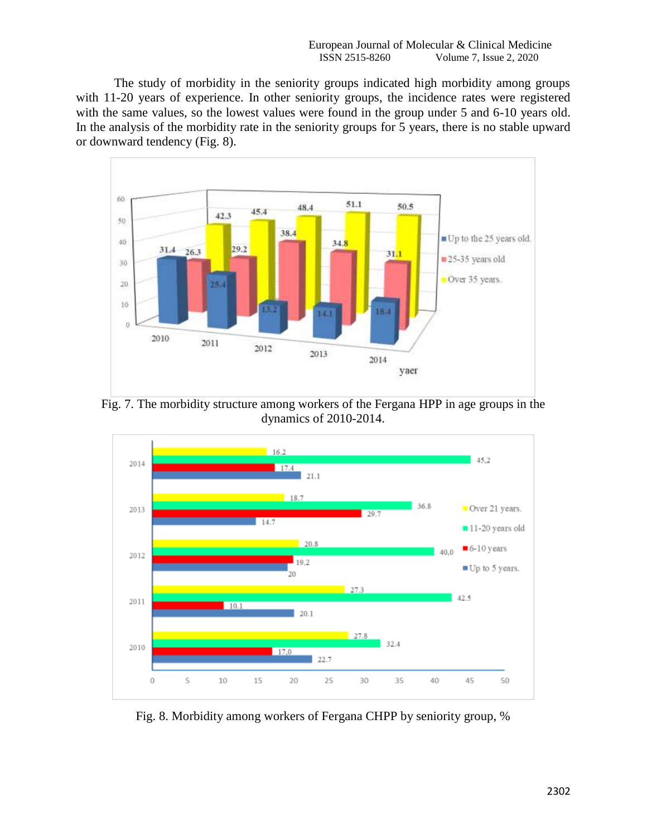The study of morbidity in the seniority groups indicated high morbidity among groups with 11-20 years of experience. In other seniority groups, the incidence rates were registered with the same values, so the lowest values were found in the group under 5 and 6-10 years old. In the analysis of the morbidity rate in the seniority groups for 5 years, there is no stable upward or downward tendency (Fig. 8).



Fig. 7. The morbidity structure among workers of the Fergana HPP in age groups in the dynamics of 2010-2014.



Fig. 8. Morbidity among workers of Fergana CHPP by seniority group, %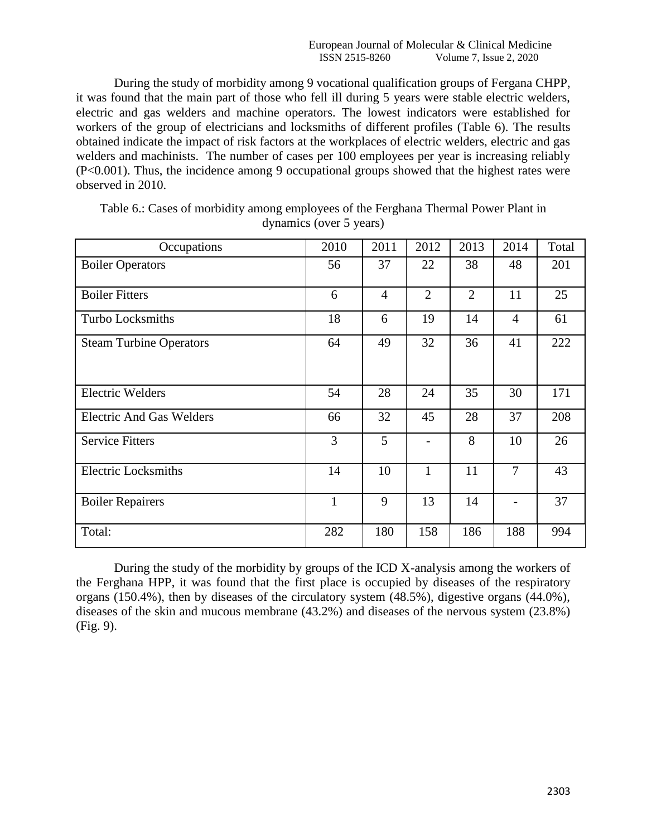During the study of morbidity among 9 vocational qualification groups of Fergana CHPP, it was found that the main part of those who fell ill during 5 years were stable electric welders, electric and gas welders and machine operators. The lowest indicators were established for workers of the group of electricians and locksmiths of different profiles (Table 6). The results obtained indicate the impact of risk factors at the workplaces of electric welders, electric and gas welders and machinists. The number of cases per 100 employees per year is increasing reliably (P<0.001). Thus, the incidence among 9 occupational groups showed that the highest rates were observed in 2010.

| Occupations                     | 2010         | 2011           | 2012           | 2013           | 2014           | Total |
|---------------------------------|--------------|----------------|----------------|----------------|----------------|-------|
| <b>Boiler Operators</b>         | 56           | 37             | 22             | 38             | 48             | 201   |
| <b>Boiler Fitters</b>           | 6            | $\overline{4}$ | $\overline{2}$ | $\overline{2}$ | 11             | 25    |
| Turbo Locksmiths                | 18           | 6              | 19             | 14             | $\overline{4}$ | 61    |
| <b>Steam Turbine Operators</b>  | 64           | 49             | 32             | 36             | 41             | 222   |
| <b>Electric Welders</b>         | 54           | 28             | 24             | 35             | 30             | 171   |
| <b>Electric And Gas Welders</b> | 66           | 32             | 45             | 28             | 37             | 208   |
| <b>Service Fitters</b>          | 3            | 5              |                | 8              | 10             | 26    |
| <b>Electric Locksmiths</b>      | 14           | 10             | 1              | 11             | $\overline{7}$ | 43    |
| <b>Boiler Repairers</b>         | $\mathbf{1}$ | 9              | 13             | 14             |                | 37    |
| Total:                          | 282          | 180            | 158            | 186            | 188            | 994   |

Table 6.: Cases of morbidity among employees of the Ferghana Thermal Power Plant in dynamics (over 5 years)

During the study of the morbidity by groups of the ICD X-analysis among the workers of the Ferghana HPP, it was found that the first place is occupied by diseases of the respiratory organs (150.4%), then by diseases of the circulatory system (48.5%), digestive organs (44.0%), diseases of the skin and mucous membrane (43.2%) and diseases of the nervous system (23.8%) (Fig. 9).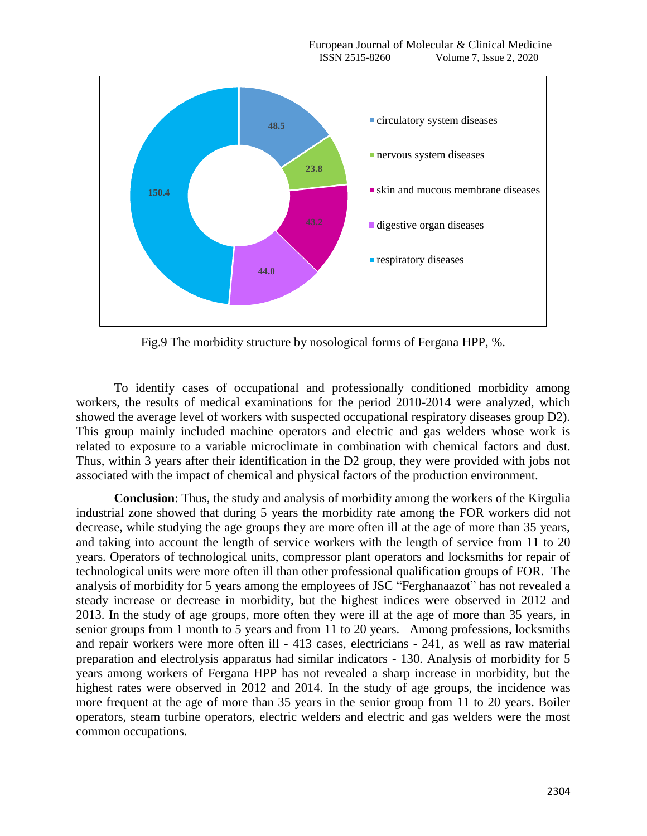

Fig.9 The morbidity structure by nosological forms of Fergana HPP, %.

To identify cases of occupational and professionally conditioned morbidity among workers, the results of medical examinations for the period 2010-2014 were analyzed, which showed the average level of workers with suspected occupational respiratory diseases group D2). This group mainly included machine operators and electric and gas welders whose work is related to exposure to a variable microclimate in combination with chemical factors and dust. Thus, within 3 years after their identification in the D2 group, they were provided with jobs not associated with the impact of chemical and physical factors of the production environment.

**Conclusion**: Thus, the study and analysis of morbidity among the workers of the Kirgulia industrial zone showed that during 5 years the morbidity rate among the FOR workers did not decrease, while studying the age groups they are more often ill at the age of more than 35 years, and taking into account the length of service workers with the length of service from 11 to 20 years. Operators of technological units, compressor plant operators and locksmiths for repair of technological units were more often ill than other professional qualification groups of FOR. The analysis of morbidity for 5 years among the employees of JSC "Ferghanaazot" has not revealed a steady increase or decrease in morbidity, but the highest indices were observed in 2012 and 2013. In the study of age groups, more often they were ill at the age of more than 35 years, in senior groups from 1 month to 5 years and from 11 to 20 years. Among professions, locksmiths and repair workers were more often ill - 413 cases, electricians - 241, as well as raw material preparation and electrolysis apparatus had similar indicators - 130. Analysis of morbidity for 5 years among workers of Fergana HPP has not revealed a sharp increase in morbidity, but the highest rates were observed in 2012 and 2014. In the study of age groups, the incidence was more frequent at the age of more than 35 years in the senior group from 11 to 20 years. Boiler operators, steam turbine operators, electric welders and electric and gas welders were the most common occupations.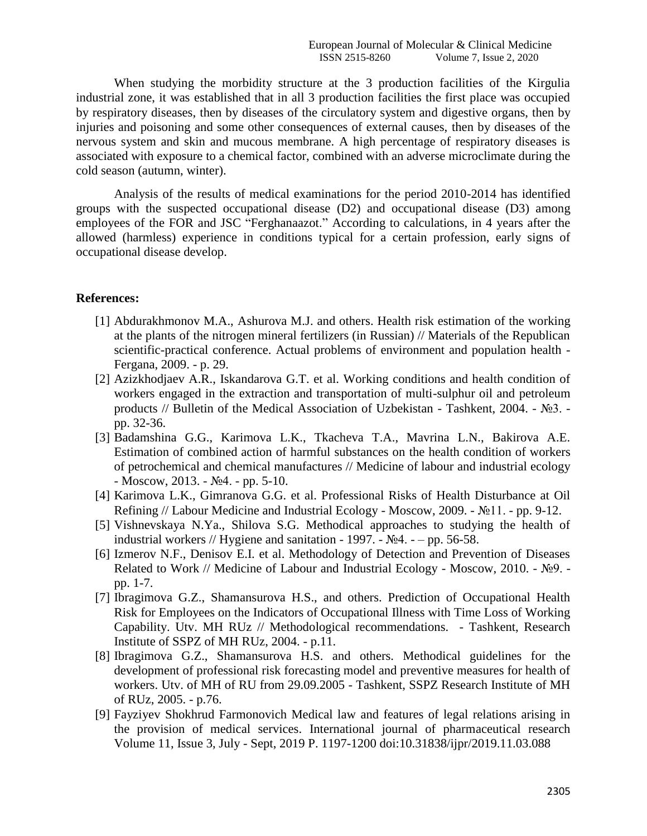When studying the morbidity structure at the 3 production facilities of the Kirgulia industrial zone, it was established that in all 3 production facilities the first place was occupied by respiratory diseases, then by diseases of the circulatory system and digestive organs, then by injuries and poisoning and some other consequences of external causes, then by diseases of the nervous system and skin and mucous membrane. A high percentage of respiratory diseases is associated with exposure to a chemical factor, combined with an adverse microclimate during the cold season (autumn, winter).

Analysis of the results of medical examinations for the period 2010-2014 has identified groups with the suspected occupational disease (D2) and occupational disease (D3) among employees of the FOR and JSC "Ferghanaazot." According to calculations, in 4 years after the allowed (harmless) experience in conditions typical for a certain profession, early signs of occupational disease develop.

## **References:**

- [1] Abdurakhmonov M.A., Ashurova M.J. and others. Health risk estimation of the working at the plants of the nitrogen mineral fertilizers (in Russian) // Materials of the Republican scientific-practical conference. Actual problems of environment and population health - Fergana, 2009. - p. 29.
- [2] Azizkhodjaev A.R., Iskandarova G.T. et al. Working conditions and health condition of workers engaged in the extraction and transportation of multi-sulphur oil and petroleum products // Bulletin of the Medical Association of Uzbekistan - Tashkent, 2004. - №3. pp. 32-36.
- [3] Badamshina G.G., Karimova L.K., Tkacheva T.A., Mavrina L.N., Bakirova A.E. Estimation of combined action of harmful substances on the health condition of workers of petrochemical and chemical manufactures // Medicine of labour and industrial ecology  $-Moscow, 2013. - N<sub>2</sub>4. - pp. 5-10.$
- [4] Karimova L.K., Gimranova G.G. et al. Professional Risks of Health Disturbance at Oil Refining // Labour Medicine and Industrial Ecology - Moscow, 2009. - №11. - pp. 9-12.
- [5] Vishnevskaya N.Ya., Shilova S.G. Methodical approaches to studying the health of industrial workers // Hygiene and sanitation - 1997. -  $N<sub>2</sub>4. - pp. 56-58.$
- [6] Izmerov N.F., Denisov E.I. et al. Methodology of Detection and Prevention of Diseases Related to Work // Medicine of Labour and Industrial Ecology - Moscow, 2010. - №9. pp. 1-7.
- [7] Ibragimova G.Z., Shamansurova H.S., and others. Prediction of Occupational Health Risk for Employees on the Indicators of Occupational Illness with Time Loss of Working Capability. Utv. MH RUz // Methodological recommendations. - Tashkent, Research Institute of SSPZ of MH RUz, 2004. - p.11.
- [8] Ibragimova G.Z., Shamansurova H.S. and others. Methodical guidelines for the development of professional risk forecasting model and preventive measures for health of workers. Utv. of MH of RU from 29.09.2005 - Tashkent, SSPZ Research Institute of MH of RUz, 2005. - p.76.
- [9] Fayziyev Shokhrud Farmonovich Medical law and features of legal relations arising in the provision of medical services. International journal of pharmaceutical research Volume 11, Issue 3, July - Sept, 2019 P. 1197-1200 doi:10.31838/ijpr/2019.11.03.088